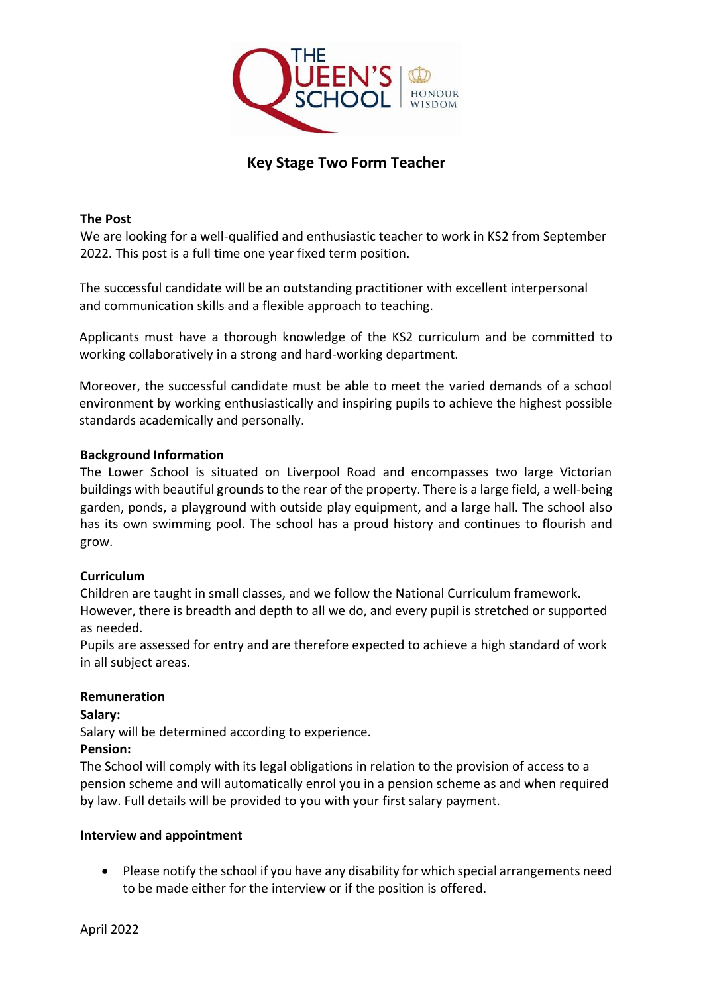

# **Key Stage Two Form Teacher**

#### **The Post**

We are looking for a well-qualified and enthusiastic teacher to work in KS2 from September 2022. This post is a full time one year fixed term position.

The successful candidate will be an outstanding practitioner with excellent interpersonal and communication skills and a flexible approach to teaching.

Applicants must have a thorough knowledge of the KS2 curriculum and be committed to working collaboratively in a strong and hard-working department.

Moreover, the successful candidate must be able to meet the varied demands of a school environment by working enthusiastically and inspiring pupils to achieve the highest possible standards academically and personally.

#### **Background Information**

The Lower School is situated on Liverpool Road and encompasses two large Victorian buildings with beautiful grounds to the rear of the property. There is a large field, a well-being garden, ponds, a playground with outside play equipment, and a large hall. The school also has its own swimming pool. The school has a proud history and continues to flourish and grow.

### **Curriculum**

Children are taught in small classes, and we follow the National Curriculum framework. However, there is breadth and depth to all we do, and every pupil is stretched or supported as needed.

Pupils are assessed for entry and are therefore expected to achieve a high standard of work in all subject areas.

### **Remuneration**

**Salary:** 

Salary will be determined according to experience.

### **Pension:**

The School will comply with its legal obligations in relation to the provision of access to a pension scheme and will automatically enrol you in a pension scheme as and when required by law. Full details will be provided to you with your first salary payment.

#### **Interview and appointment**

• Please notify the school if you have any disability for which special arrangements need to be made either for the interview or if the position is offered.